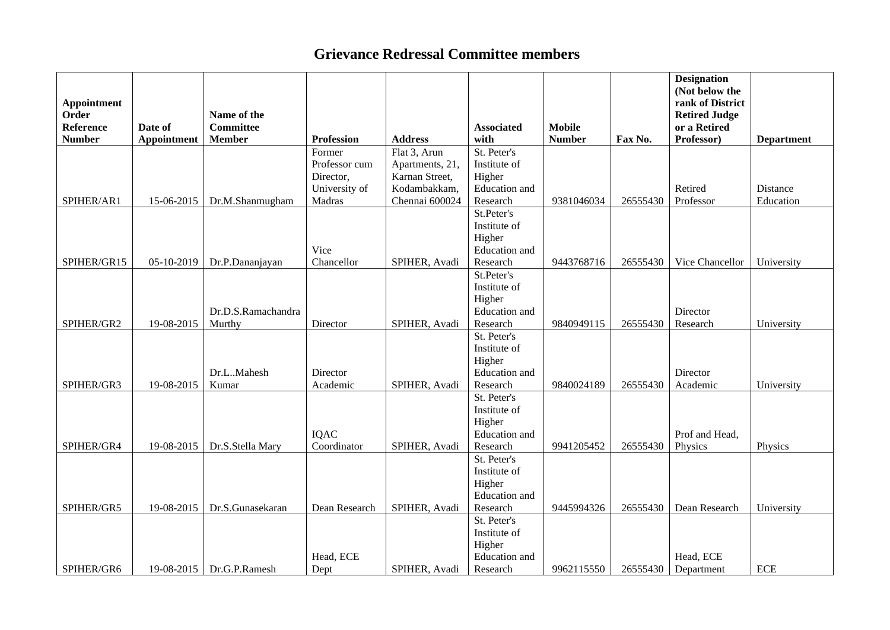## **Grievance Redressal Committee members**

| Appointment<br>Order<br><b>Reference</b><br><b>Number</b> | Date of<br><b>Appointment</b> | Name of the<br><b>Committee</b><br><b>Member</b> | <b>Profession</b>  | <b>Address</b>  | <b>Associated</b><br>with      | <b>Mobile</b><br><b>Number</b> | Fax No.  | <b>Designation</b><br>(Not below the<br>rank of District<br><b>Retired Judge</b><br>or a Retired<br>Professor) | <b>Department</b> |
|-----------------------------------------------------------|-------------------------------|--------------------------------------------------|--------------------|-----------------|--------------------------------|--------------------------------|----------|----------------------------------------------------------------------------------------------------------------|-------------------|
|                                                           |                               |                                                  | Former             | Flat 3, Arun    | St. Peter's                    |                                |          |                                                                                                                |                   |
|                                                           |                               |                                                  | Professor cum      | Apartments, 21, | Institute of                   |                                |          |                                                                                                                |                   |
|                                                           |                               |                                                  | Director,          | Karnan Street,  | Higher                         |                                |          |                                                                                                                |                   |
|                                                           |                               |                                                  | University of      | Kodambakkam,    | Education and                  |                                |          | Retired                                                                                                        | Distance          |
| SPIHER/AR1                                                | 15-06-2015                    | Dr.M.Shanmugham                                  | Madras             | Chennai 600024  | Research                       | 9381046034                     | 26555430 | Professor                                                                                                      | Education         |
|                                                           |                               |                                                  |                    |                 | St.Peter's                     |                                |          |                                                                                                                |                   |
|                                                           |                               |                                                  |                    |                 | Institute of                   |                                |          |                                                                                                                |                   |
|                                                           |                               |                                                  |                    |                 | Higher                         |                                |          |                                                                                                                |                   |
| SPIHER/GR15                                               | 05-10-2019                    | Dr.P.Dananjayan                                  | Vice<br>Chancellor | SPIHER, Avadi   | Education and<br>Research      | 9443768716                     | 26555430 | Vice Chancellor                                                                                                | University        |
|                                                           |                               |                                                  |                    |                 | St.Peter's                     |                                |          |                                                                                                                |                   |
|                                                           |                               |                                                  |                    |                 | Institute of                   |                                |          |                                                                                                                |                   |
|                                                           |                               |                                                  |                    |                 | Higher                         |                                |          |                                                                                                                |                   |
|                                                           |                               | Dr.D.S.Ramachandra                               |                    |                 | Education and                  |                                |          | Director                                                                                                       |                   |
| SPIHER/GR2                                                | 19-08-2015                    | Murthy                                           | Director           | SPIHER, Avadi   | Research                       | 9840949115                     | 26555430 | Research                                                                                                       | University        |
|                                                           |                               |                                                  |                    |                 | St. Peter's                    |                                |          |                                                                                                                |                   |
|                                                           |                               |                                                  |                    |                 | Institute of                   |                                |          |                                                                                                                |                   |
|                                                           |                               |                                                  |                    |                 | Higher                         |                                |          |                                                                                                                |                   |
|                                                           |                               | Dr.LMahesh                                       | Director           |                 | Education and                  |                                |          | Director                                                                                                       |                   |
| SPIHER/GR3                                                | 19-08-2015                    | Kumar                                            | Academic           | SPIHER, Avadi   | Research                       | 9840024189                     | 26555430 | Academic                                                                                                       | University        |
|                                                           |                               |                                                  |                    |                 | St. Peter's                    |                                |          |                                                                                                                |                   |
|                                                           |                               |                                                  |                    |                 | Institute of                   |                                |          |                                                                                                                |                   |
|                                                           |                               |                                                  |                    |                 | Higher                         |                                |          |                                                                                                                |                   |
|                                                           |                               |                                                  | IQAC               |                 | <b>Education</b> and           |                                |          | Prof and Head,                                                                                                 |                   |
| SPIHER/GR4                                                | 19-08-2015                    | Dr.S.Stella Mary                                 | Coordinator        | SPIHER, Avadi   | Research                       | 9941205452                     | 26555430 | Physics                                                                                                        | Physics           |
|                                                           |                               |                                                  |                    |                 | St. Peter's                    |                                |          |                                                                                                                |                   |
|                                                           |                               |                                                  |                    |                 | Institute of                   |                                |          |                                                                                                                |                   |
|                                                           |                               |                                                  |                    |                 | Higher                         |                                |          |                                                                                                                |                   |
|                                                           |                               |                                                  |                    |                 | <b>Education</b> and           |                                |          |                                                                                                                |                   |
| SPIHER/GR5                                                | 19-08-2015                    | Dr.S.Gunasekaran                                 | Dean Research      | SPIHER, Avadi   | Research                       | 9445994326                     | 26555430 | Dean Research                                                                                                  | University        |
|                                                           |                               |                                                  |                    |                 | St. Peter's                    |                                |          |                                                                                                                |                   |
|                                                           |                               |                                                  |                    |                 | Institute of                   |                                |          |                                                                                                                |                   |
|                                                           |                               |                                                  | Head, ECE          |                 | Higher<br><b>Education</b> and |                                |          | Head, ECE                                                                                                      |                   |
| SPIHER/GR6                                                | 19-08-2015                    | Dr.G.P.Ramesh                                    | Dept               | SPIHER, Avadi   | Research                       | 9962115550                     | 26555430 | Department                                                                                                     | <b>ECE</b>        |
|                                                           |                               |                                                  |                    |                 |                                |                                |          |                                                                                                                |                   |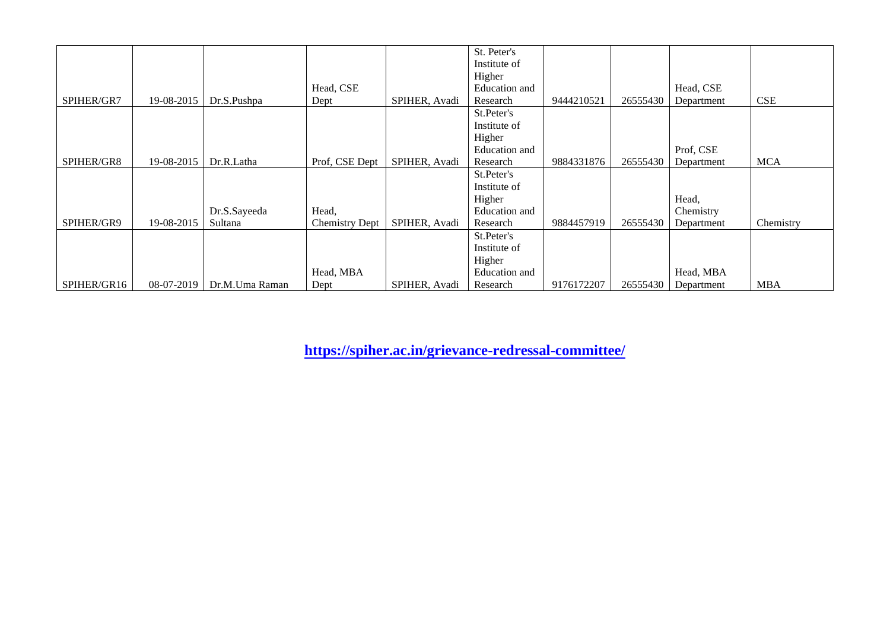|             |            |                |                       |               | St. Peter's   |            |          |            |            |
|-------------|------------|----------------|-----------------------|---------------|---------------|------------|----------|------------|------------|
|             |            |                |                       |               | Institute of  |            |          |            |            |
|             |            |                |                       |               | Higher        |            |          |            |            |
|             |            |                | Head, CSE             |               | Education and |            |          | Head, CSE  |            |
| SPIHER/GR7  | 19-08-2015 | Dr.S.Pushpa    | Dept                  | SPIHER, Avadi | Research      | 9444210521 | 26555430 | Department | <b>CSE</b> |
|             |            |                |                       |               | St.Peter's    |            |          |            |            |
|             |            |                |                       |               | Institute of  |            |          |            |            |
|             |            |                |                       |               | Higher        |            |          |            |            |
|             |            |                |                       |               | Education and |            |          | Prof, CSE  |            |
| SPIHER/GR8  | 19-08-2015 | Dr.R.Latha     | Prof, CSE Dept        | SPIHER, Avadi | Research      | 9884331876 | 26555430 | Department | <b>MCA</b> |
|             |            |                |                       |               | St.Peter's    |            |          |            |            |
|             |            |                |                       |               | Institute of  |            |          |            |            |
|             |            |                |                       |               | Higher        |            |          | Head,      |            |
|             |            | Dr.S.Sayeeda   | Head,                 |               | Education and |            |          | Chemistry  |            |
| SPIHER/GR9  | 19-08-2015 | Sultana        | <b>Chemistry Dept</b> | SPIHER, Avadi | Research      | 9884457919 | 26555430 | Department | Chemistry  |
|             |            |                |                       |               | St.Peter's    |            |          |            |            |
|             |            |                |                       |               | Institute of  |            |          |            |            |
|             |            |                |                       |               | Higher        |            |          |            |            |
|             |            |                | Head, MBA             |               | Education and |            |          | Head, MBA  |            |
| SPIHER/GR16 | 08-07-2019 | Dr.M.Uma Raman | Dept                  | SPIHER, Avadi | Research      | 9176172207 | 26555430 | Department | <b>MBA</b> |

**<https://spiher.ac.in/grievance-redressal-committee/>**